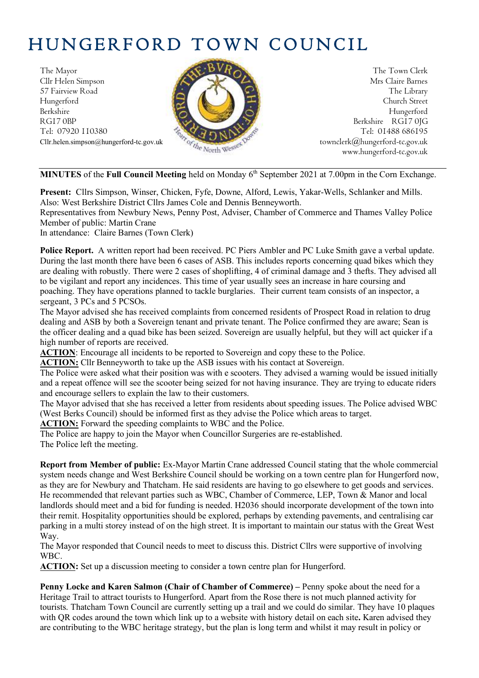# HUNGERFORD TOWN COUNCIL

The Mayor The Town Clerk Cllr Helen Simpson Mrs Claire Barnes 57 Fairview Road The Library (2008) The Library Hungerford Church Street Berkshire Hungerford RG17 0BP Berkshire RG17 0JG Tel: 07920 110380 **Tel: 07920 110380** Tel: 01488 686195



Cllr.helen.simpson@hungerford-tc.gov.uk [townclerk@hungerford-tc.gov.uk](mailto:townclerk@hungerford-tc.gov.uk) townclerk@hungerford-tc.gov.uk www.hungerford-tc.gov.uk www.hungerford-tc.gov.uk

MINUTES of the Full Council Meeting held on Monday 6<sup>th</sup> September 2021 at 7.00pm in the Corn Exchange.

**Present:** Cllrs Simpson, Winser, Chicken, Fyfe, Downe, Alford, Lewis, Yakar-Wells, Schlanker and Mills. Also: West Berkshire District Cllrs James Cole and Dennis Benneyworth.

Representatives from Newbury News, Penny Post, Adviser, Chamber of Commerce and Thames Valley Police Member of public: Martin Crane

In attendance: Claire Barnes (Town Clerk)

**Police Report.** A written report had been received. PC Piers Ambler and PC Luke Smith gave a verbal update. During the last month there have been 6 cases of ASB. This includes reports concerning quad bikes which they are dealing with robustly. There were 2 cases of shoplifting, 4 of criminal damage and 3 thefts. They advised all to be vigilant and report any incidences. This time of year usually sees an increase in hare coursing and poaching. They have operations planned to tackle burglaries. Their current team consists of an inspector, a sergeant, 3 PCs and 5 PCSOs.

The Mayor advised she has received complaints from concerned residents of Prospect Road in relation to drug dealing and ASB by both a Sovereign tenant and private tenant. The Police confirmed they are aware; Sean is the officer dealing and a quad bike has been seized. Sovereign are usually helpful, but they will act quicker if a high number of reports are received.

**ACTION**: Encourage all incidents to be reported to Sovereign and copy these to the Police.

**ACTION:** Cllr Benneyworth to take up the ASB issues with his contact at Sovereign.

The Police were asked what their position was with e scooters. They advised a warning would be issued initially and a repeat offence will see the scooter being seized for not having insurance. They are trying to educate riders and encourage sellers to explain the law to their customers.

The Mayor advised that she has received a letter from residents about speeding issues. The Police advised WBC (West Berks Council) should be informed first as they advise the Police which areas to target.

**ACTION:** Forward the speeding complaints to WBC and the Police.

The Police are happy to join the Mayor when Councillor Surgeries are re-established. The Police left the meeting.

**Report from Member of public:** Ex-Mayor Martin Crane addressed Council stating that the whole commercial system needs change and West Berkshire Council should be working on a town centre plan for Hungerford now, as they are for Newbury and Thatcham. He said residents are having to go elsewhere to get goods and services. He recommended that relevant parties such as WBC, Chamber of Commerce, LEP, Town & Manor and local landlords should meet and a bid for funding is needed. H2036 should incorporate development of the town into their remit. Hospitality opportunities should be explored, perhaps by extending pavements, and centralising car parking in a multi storey instead of on the high street. It is important to maintain our status with the Great West Way.

The Mayor responded that Council needs to meet to discuss this. District Cllrs were supportive of involving WBC.

**ACTION:** Set up a discussion meeting to consider a town centre plan for Hungerford.

**Penny Locke and Karen Salmon (Chair of Chamber of Commerce) –** Penny spoke about the need for a Heritage Trail to attract tourists to Hungerford. Apart from the Rose there is not much planned activity for tourists. Thatcham Town Council are currently setting up a trail and we could do similar. They have 10 plaques with QR codes around the town which link up to a website with history detail on each site**.** Karen advised they are contributing to the WBC heritage strategy, but the plan is long term and whilst it may result in policy or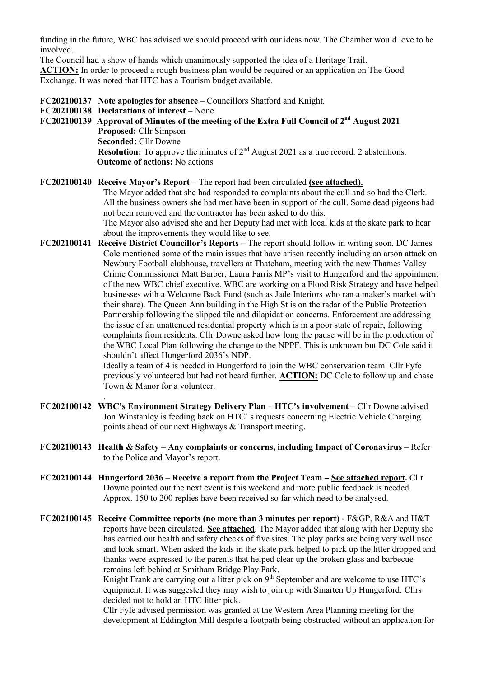funding in the future, WBC has advised we should proceed with our ideas now. The Chamber would love to be involved.

The Council had a show of hands which unanimously supported the idea of a Heritage Trail. **ACTION:** In order to proceed a rough business plan would be required or an application on The Good Exchange. It was noted that HTC has a Tourism budget available.

**FC202100137 Note apologies for absence** – Councillors Shatford and Knight.

**FC202100138 Declarations of interest** – None

.

**FC202100139 Approval of Minutes of the meeting of the Extra Full Council of 2 nd August 2021 Proposed:** Cllr Simpson **Seconded:** Cllr Downe **Resolution:** To approve the minutes of  $2<sup>nd</sup>$  August 2021 as a true record. 2 abstentions. **Outcome of actions:** No actions

#### **FC202100140 Receive Mayor's Report** – The report had been circulated **(see attached).**

The Mayor added that she had responded to complaints about the cull and so had the Clerk. All the business owners she had met have been in support of the cull. Some dead pigeons had not been removed and the contractor has been asked to do this.

The Mayor also advised she and her Deputy had met with local kids at the skate park to hear about the improvements they would like to see.

**FC202100141 Receive District Councillor's Reports –** The report should follow in writing soon. DC James Cole mentioned some of the main issues that have arisen recently including an arson attack on Newbury Football clubhouse, travellers at Thatcham, meeting with the new Thames Valley Crime Commissioner Matt Barber, Laura Farris MP's visit to Hungerford and the appointment of the new WBC chief executive. WBC are working on a Flood Risk Strategy and have helped businesses with a Welcome Back Fund (such as Jade Interiors who ran a maker's market with their share). The Queen Ann building in the High St is on the radar of the Public Protection Partnership following the slipped tile and dilapidation concerns. Enforcement are addressing the issue of an unattended residential property which is in a poor state of repair, following complaints from residents. Cllr Downe asked how long the pause will be in the production of the WBC Local Plan following the change to the NPPF. This is unknown but DC Cole said it shouldn't affect Hungerford 2036's NDP.

Ideally a team of 4 is needed in Hungerford to join the WBC conservation team. Cllr Fyfe previously volunteered but had not heard further. **ACTION:** DC Cole to follow up and chase Town & Manor for a volunteer.

- **FC202100142 WBC's Environment Strategy Delivery Plan – HTC's involvement –** Cllr Downe advised Jon Winstanley is feeding back on HTC' s requests concerning Electric Vehicle Charging points ahead of our next Highways & Transport meeting.
- **FC202100143 Health & Safety Any complaints or concerns, including Impact of Coronavirus** Refer to the Police and Mayor's report.
- **FC202100144 Hungerford 2036 Receive a report from the Project Team – See attached report.** Cllr Downe pointed out the next event is this weekend and more public feedback is needed. Approx. 150 to 200 replies have been received so far which need to be analysed.
- **FC202100145 Receive Committee reports (no more than 3 minutes per report)** F&GP, R&A and H&T reports have been circulated. **See attached**. The Mayor added that along with her Deputy she has carried out health and safety checks of five sites. The play parks are being very well used and look smart. When asked the kids in the skate park helped to pick up the litter dropped and thanks were expressed to the parents that helped clear up the broken glass and barbecue remains left behind at Smitham Bridge Play Park.

Knight Frank are carrying out a litter pick on  $9<sup>th</sup>$  September and are welcome to use HTC's equipment. It was suggested they may wish to join up with Smarten Up Hungerford. Cllrs decided not to hold an HTC litter pick.

Cllr Fyfe advised permission was granted at the Western Area Planning meeting for the development at Eddington Mill despite a footpath being obstructed without an application for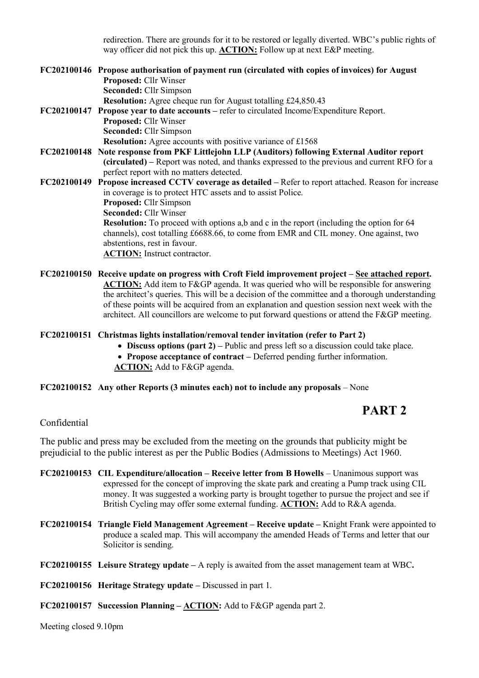redirection. There are grounds for it to be restored or legally diverted. WBC's public rights of way officer did not pick this up. **ACTION:** Follow up at next E&P meeting.

| FC202100146 Propose authorisation of payment run (circulated with copies of invoices) for August<br>Proposed: Cllr Winser |
|---------------------------------------------------------------------------------------------------------------------------|
| Seconded: Cllr Simpson                                                                                                    |
| <b>Resolution:</b> Agree cheque run for August totalling £24,850.43                                                       |
| FC202100147 Propose year to date accounts – refer to circulated Income/Expenditure Report.                                |
| <b>Proposed:</b> Cllr Winser                                                                                              |
| Seconded: Cllr Simpson                                                                                                    |
| <b>Resolution:</b> Agree accounts with positive variance of £1568                                                         |
| FC202100148 Note response from PKF Littlejohn LLP (Auditors) following External Auditor report                            |
| (circulated) – Report was noted, and thanks expressed to the previous and current RFO for a                               |
| perfect report with no matters detected.                                                                                  |
| FC202100149 Propose increased CCTV coverage as detailed - Refer to report attached. Reason for increase                   |
| in coverage is to protect HTC assets and to assist Police.                                                                |
| Proposed: Cllr Simpson                                                                                                    |
| <b>Seconded: Cllr Winser</b>                                                                                              |
| <b>Resolution:</b> To proceed with options a,b and c in the report (including the option for 64                           |
| channels), cost totalling £6688.66, to come from EMR and CIL money. One against, two                                      |
| abstentions, rest in favour.                                                                                              |
| <b>ACTION:</b> Instruct contractor.                                                                                       |
|                                                                                                                           |

**FC202100150 Receive update on progress with Croft Field improvement project – See attached report. ACTION:** Add item to F&GP agenda. It was queried who will be responsible for answering the architect's queries. This will be a decision of the committee and a thorough understanding of these points will be acquired from an explanation and question session next week with the architect. All councillors are welcome to put forward questions or attend the F&GP meeting.

#### **FC202100151 Christmas lights installation/removal tender invitation (refer to Part 2)**

- **Discuss options (part 2) –** Public and press left so a discussion could take place.
- **Propose acceptance of contract –** Deferred pending further information.
- **ACTION:** Add to F&GP agenda.

#### **FC202100152 Any other Reports (3 minutes each) not to include any proposals** – None

# **PART 2**

#### Confidential

The public and press may be excluded from the meeting on the grounds that publicity might be prejudicial to the public interest as per the Public Bodies (Admissions to Meetings) Act 1960.

- **FC202100153 CIL Expenditure/allocation – Receive letter from B Howells** Unanimous support was expressed for the concept of improving the skate park and creating a Pump track using CIL money. It was suggested a working party is brought together to pursue the project and see if British Cycling may offer some external funding. **ACTION:** Add to R&A agenda.
- **FC202100154 Triangle Field Management Agreement – Receive update –** Knight Frank were appointed to produce a scaled map. This will accompany the amended Heads of Terms and letter that our Solicitor is sending.
- **FC202100155 Leisure Strategy update –** A reply is awaited from the asset management team at WBC**.**
- **FC202100156 Heritage Strategy update –** Discussed in part 1.
- **FC202100157 Succession Planning – ACTION:** Add to F&GP agenda part 2.

Meeting closed 9.10pm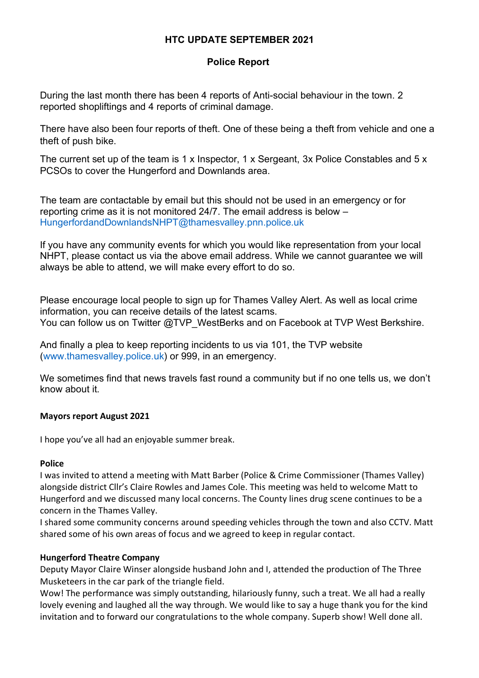# **HTC UPDATE SEPTEMBER 2021**

# **Police Report**

During the last month there has been 4 reports of Anti-social behaviour in the town. 2 reported shopliftings and 4 reports of criminal damage.

There have also been four reports of theft. One of these being a theft from vehicle and one a theft of push bike.

The current set up of the team is 1 x Inspector, 1 x Sergeant, 3x Police Constables and 5 x PCSOs to cover the Hungerford and Downlands area.

The team are contactable by email but this should not be used in an emergency or for reporting crime as it is not monitored 24/7. The email address is below – [HungerfordandDownlandsNHPT@thamesvalley.pnn.police.uk](mailto:HungerfordandDownlandsNHPT@thamesvalley.pnn.police.uk)

If you have any community events for which you would like representation from your local NHPT, please contact us via the above email address. While we cannot guarantee we will always be able to attend, we will make every effort to do so.

Please encourage local people to sign up for Thames Valley Alert. As well as local crime information, you can receive details of the latest scams. You can follow us on Twitter @TVP\_WestBerks and on Facebook at TVP West Berkshire.

And finally a plea to keep reporting incidents to us via 101, the TVP website [\(www.thamesvalley.police.uk\)](http://www.thamesvalley.police.uk/) or 999, in an emergency.

We sometimes find that news travels fast round a community but if no one tells us, we don't know about it.

#### **Mayors report August 2021**

I hope you've all had an enjoyable summer break.

#### **Police**

I was invited to attend a meeting with Matt Barber (Police & Crime Commissioner (Thames Valley) alongside district Cllr's Claire Rowles and James Cole. This meeting was held to welcome Matt to Hungerford and we discussed many local concerns. The County lines drug scene continues to be a concern in the Thames Valley.

I shared some community concerns around speeding vehicles through the town and also CCTV. Matt shared some of his own areas of focus and we agreed to keep in regular contact.

# **Hungerford Theatre Company**

Deputy Mayor Claire Winser alongside husband John and I, attended the production of The Three Musketeers in the car park of the triangle field.

Wow! The performance was simply outstanding, hilariously funny, such a treat. We all had a really lovely evening and laughed all the way through. We would like to say a huge thank you for the kind invitation and to forward our congratulations to the whole company. Superb show! Well done all.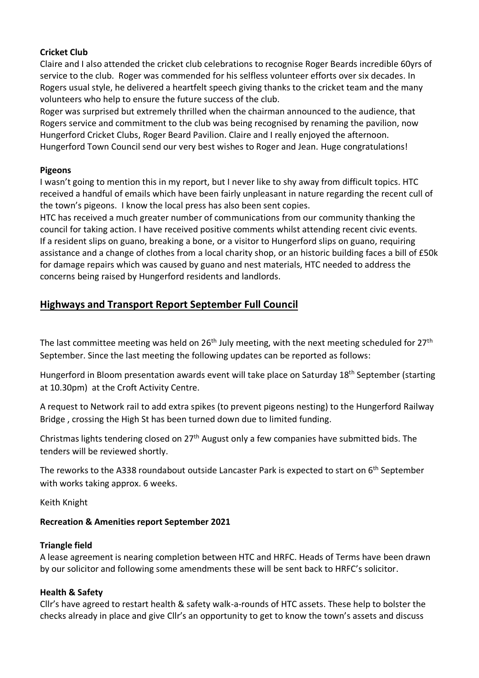# **Cricket Club**

Claire and I also attended the cricket club celebrations to recognise Roger Beards incredible 60yrs of service to the club. Roger was commended for his selfless volunteer efforts over six decades. In Rogers usual style, he delivered a heartfelt speech giving thanks to the cricket team and the many volunteers who help to ensure the future success of the club.

Roger was surprised but extremely thrilled when the chairman announced to the audience, that Rogers service and commitment to the club was being recognised by renaming the pavilion, now Hungerford Cricket Clubs, Roger Beard Pavilion. Claire and I really enjoyed the afternoon. Hungerford Town Council send our very best wishes to Roger and Jean. Huge congratulations!

# **Pigeons**

I wasn't going to mention this in my report, but I never like to shy away from difficult topics. HTC received a handful of emails which have been fairly unpleasant in nature regarding the recent cull of the town's pigeons. I know the local press has also been sent copies.

HTC has received a much greater number of communications from our community thanking the council for taking action. I have received positive comments whilst attending recent civic events. If a resident slips on guano, breaking a bone, or a visitor to Hungerford slips on guano, requiring assistance and a change of clothes from a local charity shop, or an historic building faces a bill of £50k for damage repairs which was caused by guano and nest materials, HTC needed to address the concerns being raised by Hungerford residents and landlords.

# **Highways and Transport Report September Full Council**

The last committee meeting was held on  $26<sup>th</sup>$  July meeting, with the next meeting scheduled for  $27<sup>th</sup>$ September. Since the last meeting the following updates can be reported as follows:

Hungerford in Bloom presentation awards event will take place on Saturday 18<sup>th</sup> September (starting at 10.30pm) at the Croft Activity Centre.

A request to Network rail to add extra spikes (to prevent pigeons nesting) to the Hungerford Railway Bridge , crossing the High St has been turned down due to limited funding.

Christmas lights tendering closed on 27<sup>th</sup> August only a few companies have submitted bids. The tenders will be reviewed shortly.

The reworks to the A338 roundabout outside Lancaster Park is expected to start on 6<sup>th</sup> September with works taking approx. 6 weeks.

Keith Knight

# **Recreation & Amenities report September 2021**

# **Triangle field**

A lease agreement is nearing completion between HTC and HRFC. Heads of Terms have been drawn by our solicitor and following some amendments these will be sent back to HRFC's solicitor.

# **Health & Safety**

Cllr's have agreed to restart health & safety walk-a-rounds of HTC assets. These help to bolster the checks already in place and give Cllr's an opportunity to get to know the town's assets and discuss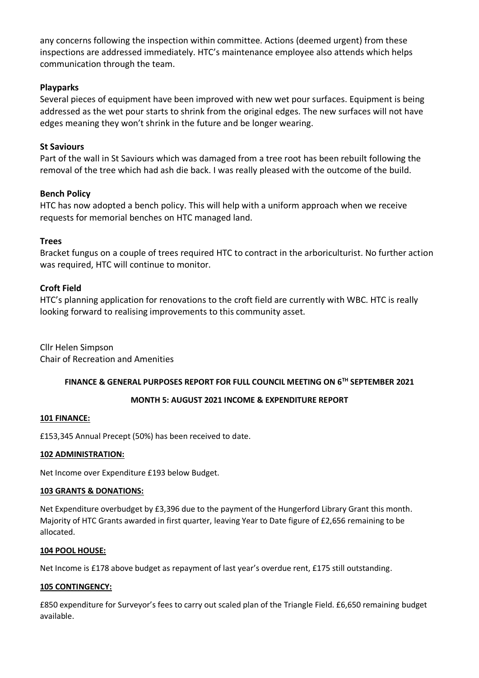any concerns following the inspection within committee. Actions (deemed urgent) from these inspections are addressed immediately. HTC's maintenance employee also attends which helps communication through the team.

## **Playparks**

Several pieces of equipment have been improved with new wet pour surfaces. Equipment is being addressed as the wet pour starts to shrink from the original edges. The new surfaces will not have edges meaning they won't shrink in the future and be longer wearing.

## **St Saviours**

Part of the wall in St Saviours which was damaged from a tree root has been rebuilt following the removal of the tree which had ash die back. I was really pleased with the outcome of the build.

## **Bench Policy**

HTC has now adopted a bench policy. This will help with a uniform approach when we receive requests for memorial benches on HTC managed land.

## **Trees**

Bracket fungus on a couple of trees required HTC to contract in the arboriculturist. No further action was required, HTC will continue to monitor.

## **Croft Field**

HTC's planning application for renovations to the croft field are currently with WBC. HTC is really looking forward to realising improvements to this community asset.

Cllr Helen Simpson Chair of Recreation and Amenities

#### **FINANCE & GENERAL PURPOSES REPORT FOR FULL COUNCIL MEETING ON 6 TH SEPTEMBER 2021**

#### **MONTH 5: AUGUST 2021 INCOME & EXPENDITURE REPORT**

#### **101 FINANCE:**

£153,345 Annual Precept (50%) has been received to date.

#### **102 ADMINISTRATION:**

Net Income over Expenditure £193 below Budget.

#### **103 GRANTS & DONATIONS:**

Net Expenditure overbudget by £3,396 due to the payment of the Hungerford Library Grant this month. Majority of HTC Grants awarded in first quarter, leaving Year to Date figure of £2,656 remaining to be allocated.

#### **104 POOL HOUSE:**

Net Income is £178 above budget as repayment of last year's overdue rent, £175 still outstanding.

#### **105 CONTINGENCY:**

£850 expenditure for Surveyor's fees to carry out scaled plan of the Triangle Field. £6,650 remaining budget available.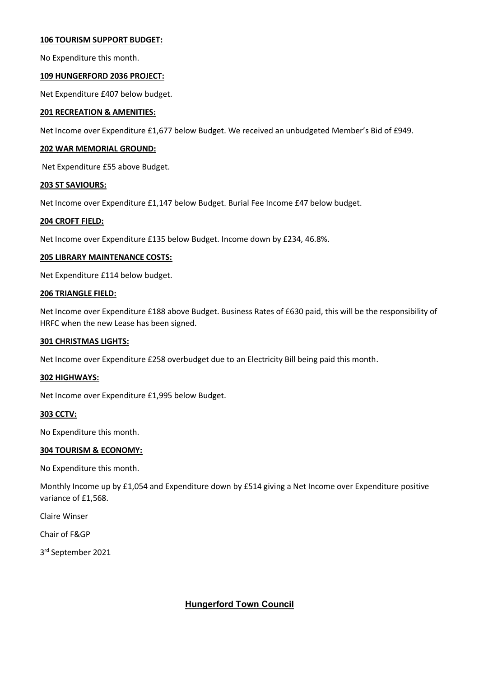#### **106 TOURISM SUPPORT BUDGET:**

No Expenditure this month.

#### **109 HUNGERFORD 2036 PROJECT:**

Net Expenditure £407 below budget.

#### **201 RECREATION & AMENITIES:**

Net Income over Expenditure £1,677 below Budget. We received an unbudgeted Member's Bid of £949.

#### **202 WAR MEMORIAL GROUND:**

Net Expenditure £55 above Budget.

#### **203 ST SAVIOURS:**

Net Income over Expenditure £1,147 below Budget. Burial Fee Income £47 below budget.

#### **204 CROFT FIELD:**

Net Income over Expenditure £135 below Budget. Income down by £234, 46.8%.

#### **205 LIBRARY MAINTENANCE COSTS:**

Net Expenditure £114 below budget.

#### **206 TRIANGLE FIELD:**

Net Income over Expenditure £188 above Budget. Business Rates of £630 paid, this will be the responsibility of HRFC when the new Lease has been signed.

#### **301 CHRISTMAS LIGHTS:**

Net Income over Expenditure £258 overbudget due to an Electricity Bill being paid this month.

#### **302 HIGHWAYS:**

Net Income over Expenditure £1,995 below Budget.

#### **303 CCTV:**

No Expenditure this month.

#### **304 TOURISM & ECONOMY:**

No Expenditure this month.

Monthly Income up by £1,054 and Expenditure down by £514 giving a Net Income over Expenditure positive variance of £1,568.

Claire Winser

Chair of F&GP

3 rd September 2021

#### **Hungerford Town Council**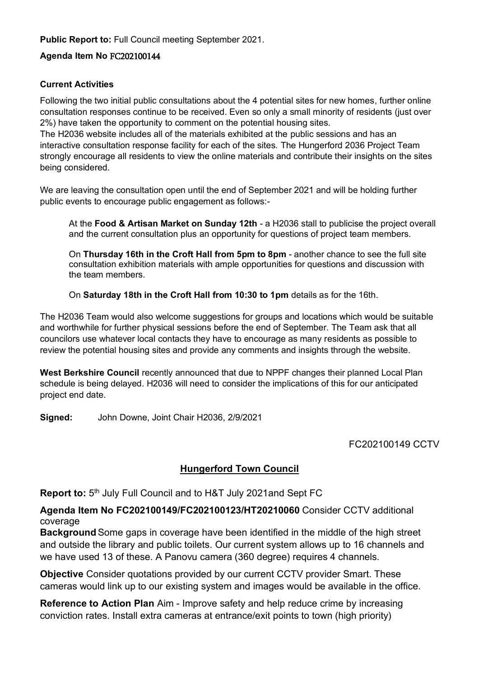**Public Report to:** Full Council meeting September 2021.

# **Agenda Item No** FC202100144

## **Current Activities**

Following the two initial public consultations about the 4 potential sites for new homes, further online consultation responses continue to be received. Even so only a small minority of residents (just over 2%) have taken the opportunity to comment on the potential housing sites.

The H2036 website includes all of the materials exhibited at the public sessions and has an interactive consultation response facility for each of the sites. The Hungerford 2036 Project Team strongly encourage all residents to view the online materials and contribute their insights on the sites being considered.

We are leaving the consultation open until the end of September 2021 and will be holding further public events to encourage public engagement as follows:-

At the **Food & Artisan Market on Sunday 12th** - a H2036 stall to publicise the project overall and the current consultation plus an opportunity for questions of project team members.

On **Thursday 16th in the Croft Hall from 5pm to 8pm** - another chance to see the full site consultation exhibition materials with ample opportunities for questions and discussion with the team members.

On **Saturday 18th in the Croft Hall from 10:30 to 1pm** details as for the 16th.

The H2036 Team would also welcome suggestions for groups and locations which would be suitable and worthwhile for further physical sessions before the end of September. The Team ask that all councilors use whatever local contacts they have to encourage as many residents as possible to review the potential housing sites and provide any comments and insights through the website.

**West Berkshire Council** recently announced that due to NPPF changes their planned Local Plan schedule is being delayed. H2036 will need to consider the implications of this for our anticipated project end date.

**Signed:** John Downe, Joint Chair H2036, 2/9/2021

FC202100149 CCTV

# **Hungerford Town Council**

**Report to:** 5<sup>th</sup> July Full Council and to H&T July 2021and Sept FC

**Agenda Item No FC202100149/FC202100123/HT20210060** Consider CCTV additional coverage

**Background** Some gaps in coverage have been identified in the middle of the high street and outside the library and public toilets. Our current system allows up to 16 channels and we have used 13 of these. A Panovu camera (360 degree) requires 4 channels.

**Objective** Consider quotations provided by our current CCTV provider Smart. These cameras would link up to our existing system and images would be available in the office.

**Reference to Action Plan** Aim - Improve safety and help reduce crime by increasing conviction rates. Install extra cameras at entrance/exit points to town (high priority)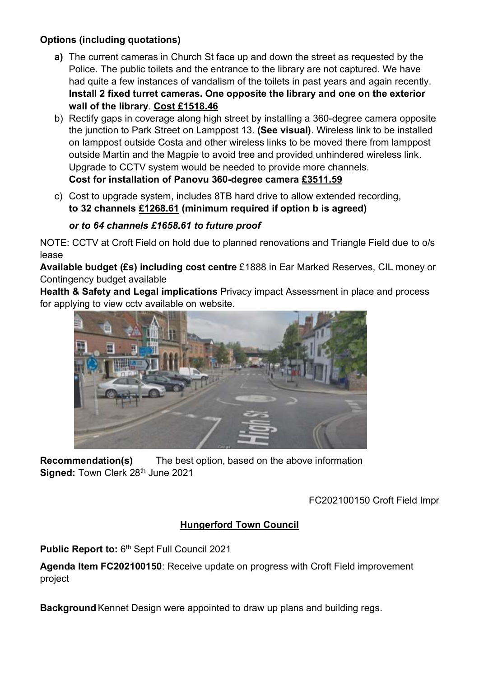# **Options (including quotations)**

- **a)** The current cameras in Church St face up and down the street as requested by the Police. The public toilets and the entrance to the library are not captured. We have had quite a few instances of vandalism of the toilets in past years and again recently. **Install 2 fixed turret cameras. One opposite the library and one on the exterior wall of the library**. **Cost £1518.46**
- b) Rectify gaps in coverage along high street by installing a 360-degree camera opposite the junction to Park Street on Lamppost 13. **(See visual)**. Wireless link to be installed on lamppost outside Costa and other wireless links to be moved there from lamppost outside Martin and the Magpie to avoid tree and provided unhindered wireless link. Upgrade to CCTV system would be needed to provide more channels. **Cost for installation of Panovu 360-degree camera £3511.59**
- c) Cost to upgrade system, includes 8TB hard drive to allow extended recording, **to 32 channels £1268.61 (minimum required if option b is agreed)**

# *or to 64 channels £1658.61 to future proof*

NOTE: CCTV at Croft Field on hold due to planned renovations and Triangle Field due to o/s lease

**Available budget (£s) including cost centre** £1888 in Ear Marked Reserves, CIL money or Contingency budget available

**Health & Safety and Legal implications** Privacy impact Assessment in place and process for applying to view cctv available on website.



**Recommendation(s)** The best option, based on the above information **Signed: Town Clerk 28th June 2021** 

FC202100150 Croft Field Impr

# **Hungerford Town Council**

Public Report to: 6<sup>th</sup> Sept Full Council 2021

**Agenda Item FC202100150**: Receive update on progress with Croft Field improvement project

**Background**Kennet Design were appointed to draw up plans and building regs.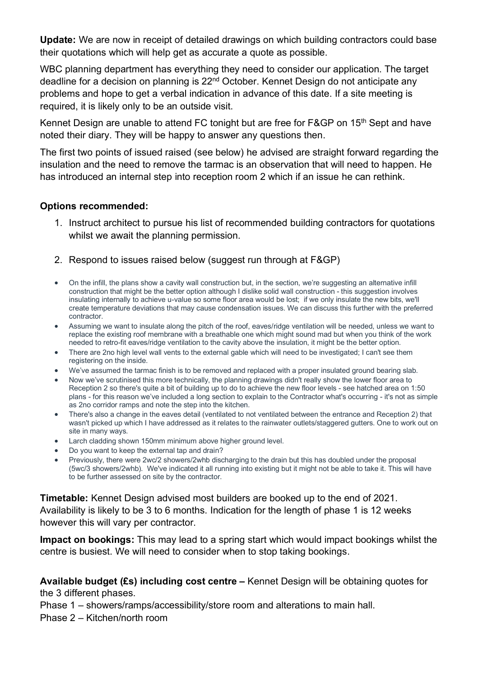**Update:** We are now in receipt of detailed drawings on which building contractors could base their quotations which will help get as accurate a quote as possible.

WBC planning department has everything they need to consider our application. The target deadline for a decision on planning is 22<sup>nd</sup> October. Kennet Design do not anticipate any problems and hope to get a verbal indication in advance of this date. If a site meeting is required, it is likely only to be an outside visit.

Kennet Design are unable to attend FC tonight but are free for F&GP on 15<sup>th</sup> Sept and have noted their diary. They will be happy to answer any questions then.

The first two points of issued raised (see below) he advised are straight forward regarding the insulation and the need to remove the tarmac is an observation that will need to happen. He has introduced an internal step into reception room 2 which if an issue he can rethink.

# **Options recommended:**

- 1. Instruct architect to pursue his list of recommended building contractors for quotations whilst we await the planning permission.
- 2. Respond to issues raised below (suggest run through at F&GP)
- On the infill, the plans show a cavity wall construction but, in the section, we're suggesting an alternative infill construction that might be the better option although I dislike solid wall construction - this suggestion involves insulating internally to achieve u-value so some floor area would be lost; if we only insulate the new bits, we'll create temperature deviations that may cause condensation issues. We can discuss this further with the preferred contractor.
- Assuming we want to insulate along the pitch of the roof, eaves/ridge ventilation will be needed, unless we want to replace the existing roof membrane with a breathable one which might sound mad but when you think of the work needed to retro-fit eaves/ridge ventilation to the cavity above the insulation, it might be the better option.
- There are 2no high level wall vents to the external gable which will need to be investigated; I can't see them registering on the inside.
- We've assumed the tarmac finish is to be removed and replaced with a proper insulated ground bearing slab.
- Now we've scrutinised this more technically, the planning drawings didn't really show the lower floor area to Reception 2 so there's quite a bit of building up to do to achieve the new floor levels - see hatched area on 1:50 plans - for this reason we've included a long section to explain to the Contractor what's occurring - it's not as simple as 2no corridor ramps and note the step into the kitchen.
- There's also a change in the eaves detail (ventilated to not ventilated between the entrance and Reception 2) that wasn't picked up which I have addressed as it relates to the rainwater outlets/staggered gutters. One to work out on site in many ways.
- Larch cladding shown 150mm minimum above higher ground level.
- Do you want to keep the external tap and drain?
- Previously, there were 2wc/2 showers/2whb discharging to the drain but this has doubled under the proposal (5wc/3 showers/2whb). We've indicated it all running into existing but it might not be able to take it. This will have to be further assessed on site by the contractor.

**Timetable:** Kennet Design advised most builders are booked up to the end of 2021. Availability is likely to be 3 to 6 months. Indication for the length of phase 1 is 12 weeks however this will vary per contractor.

**Impact on bookings:** This may lead to a spring start which would impact bookings whilst the centre is busiest. We will need to consider when to stop taking bookings.

**Available budget (£s) including cost centre –** Kennet Design will be obtaining quotes for the 3 different phases.

Phase 1 – showers/ramps/accessibility/store room and alterations to main hall.

Phase 2 – Kitchen/north room